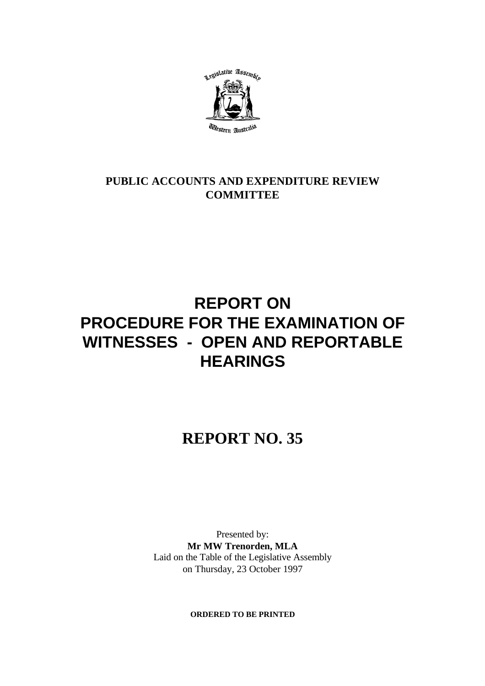

### **PUBLIC ACCOUNTS AND EXPENDITURE REVIEW COMMITTEE**

# **REPORT ON PROCEDURE FOR THE EXAMINATION OF WITNESSES - OPEN AND REPORTABLE HEARINGS**

# **REPORT NO. 35**

Presented by: **Mr MW Trenorden, MLA** Laid on the Table of the Legislative Assembly on Thursday, 23 October 1997

**ORDERED TO BE PRINTED**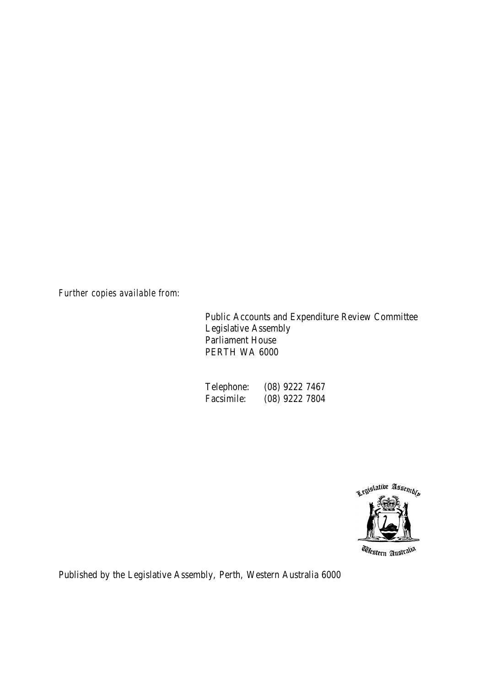*Further copies available from:*

Public Accounts and Expenditure Review Committee Legislative Assembly Parliament House PERTH WA 6000

| Telephone: | $(08)$ 9222 7467 |
|------------|------------------|
| Facsimile: | (08) 9222 7804   |



*Utestern Australia* 

Published by the Legislative Assembly, Perth, Western Australia 6000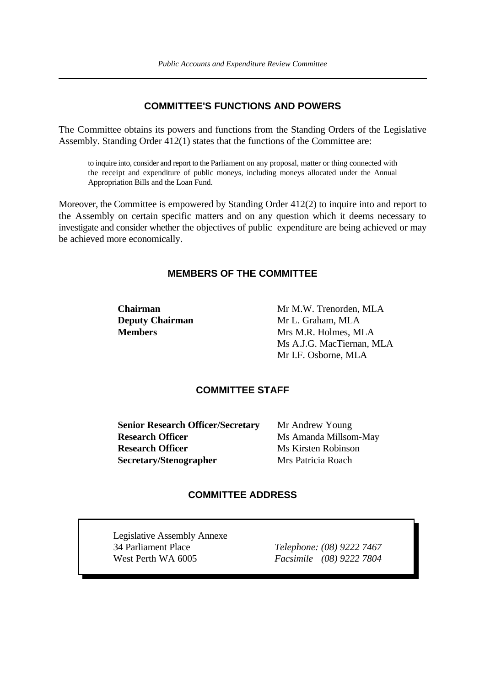#### **COMMITTEE'S FUNCTIONS AND POWERS**

The Committee obtains its powers and functions from the Standing Orders of the Legislative Assembly. Standing Order 412(1) states that the functions of the Committee are:

to inquire into, consider and report to the Parliament on any proposal, matter or thing connected with the receipt and expenditure of public moneys, including moneys allocated under the Annual Appropriation Bills and the Loan Fund.

Moreover, the Committee is empowered by Standing Order 412(2) to inquire into and report to the Assembly on certain specific matters and on any question which it deems necessary to investigate and consider whether the objectives of public expenditure are being achieved or may be achieved more economically.

#### **MEMBERS OF THE COMMITTEE**

**Chairman** Mr M.W. Trenorden, MLA **Deputy Chairman** Mr L. Graham, MLA **Members** Mrs M.R. Holmes, MLA Ms A.J.G. MacTiernan, MLA Mr I.F. Osborne, MLA

#### **COMMITTEE STAFF**

**Senior Research Officer/Secretary** Mr Andrew Young **Research Officer** Ms Amanda Millsom-May **Research Officer** Ms Kirsten Robinson **Secretary/Stenographer** Mrs Patricia Roach

#### **COMMITTEE ADDRESS**

Legislative Assembly Annexe 34 Parliament Place *Telephone: (08) 9222 7467* West Perth WA 6005 *Facsimile (08) 9222 7804*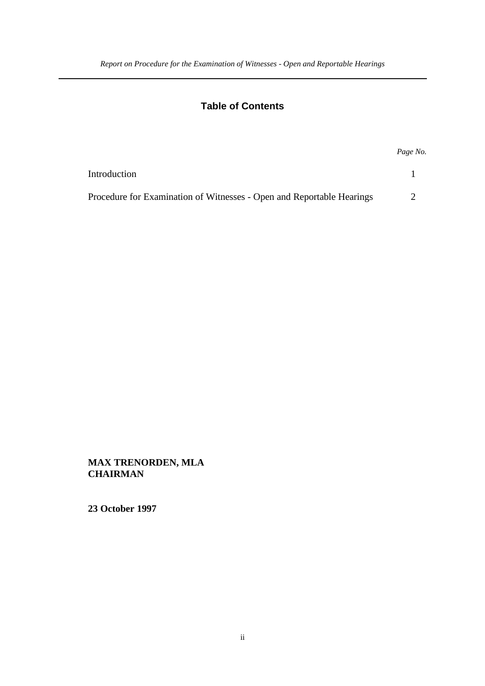### **Table of Contents**

|                                                                       | Page No. |
|-----------------------------------------------------------------------|----------|
| Introduction                                                          |          |
| Procedure for Examination of Witnesses - Open and Reportable Hearings |          |

**MAX TRENORDEN, MLA CHAIRMAN**

**23 October 1997**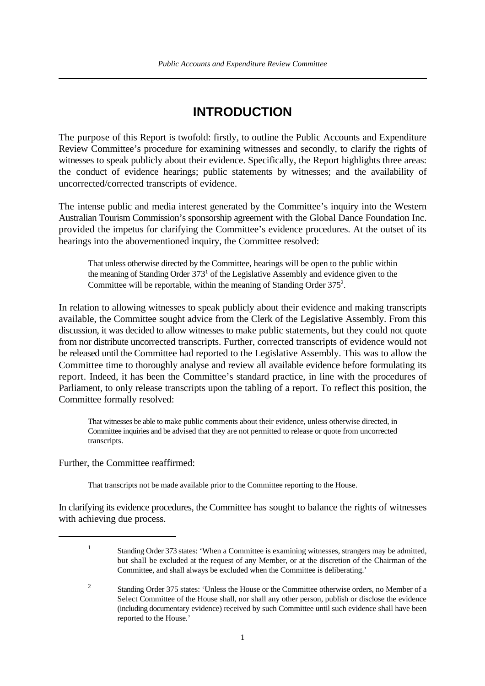## **INTRODUCTION**

The purpose of this Report is twofold: firstly, to outline the Public Accounts and Expenditure Review Committee's procedure for examining witnesses and secondly, to clarify the rights of witnesses to speak publicly about their evidence. Specifically, the Report highlights three areas: the conduct of evidence hearings; public statements by witnesses; and the availability of uncorrected/corrected transcripts of evidence.

The intense public and media interest generated by the Committee's inquiry into the Western Australian Tourism Commission's sponsorship agreement with the Global Dance Foundation Inc. provided the impetus for clarifying the Committee's evidence procedures. At the outset of its hearings into the abovementioned inquiry, the Committee resolved:

That unless otherwise directed by the Committee, hearings will be open to the public within the meaning of Standing Order  $373<sup>1</sup>$  of the Legislative Assembly and evidence given to the Committee will be reportable, within the meaning of Standing Order  $375<sup>2</sup>$ .

In relation to allowing witnesses to speak publicly about their evidence and making transcripts available, the Committee sought advice from the Clerk of the Legislative Assembly. From this discussion, it was decided to allow witnesses to make public statements, but they could not quote from nor distribute uncorrected transcripts. Further, corrected transcripts of evidence would not be released until the Committee had reported to the Legislative Assembly. This was to allow the Committee time to thoroughly analyse and review all available evidence before formulating its report. Indeed, it has been the Committee's standard practice, in line with the procedures of Parliament, to only release transcripts upon the tabling of a report. To reflect this position, the Committee formally resolved:

That witnesses be able to make public comments about their evidence, unless otherwise directed, in Committee inquiries and be advised that they are not permitted to release or quote from uncorrected transcripts.

#### Further, the Committee reaffirmed:

That transcripts not be made available prior to the Committee reporting to the House.

In clarifying its evidence procedures, the Committee has sought to balance the rights of witnesses with achieving due process.

 $\frac{1}{1}$  Standing Order 373 states: 'When a Committee is examining witnesses, strangers may be admitted, but shall be excluded at the request of any Member, or at the discretion of the Chairman of the Committee, and shall always be excluded when the Committee is deliberating.'

<sup>&</sup>lt;sup>2</sup> Standing Order 375 states: 'Unless the House or the Committee otherwise orders, no Member of a Select Committee of the House shall, nor shall any other person, publish or disclose the evidence (including documentary evidence) received by such Committee until such evidence shall have been reported to the House.'